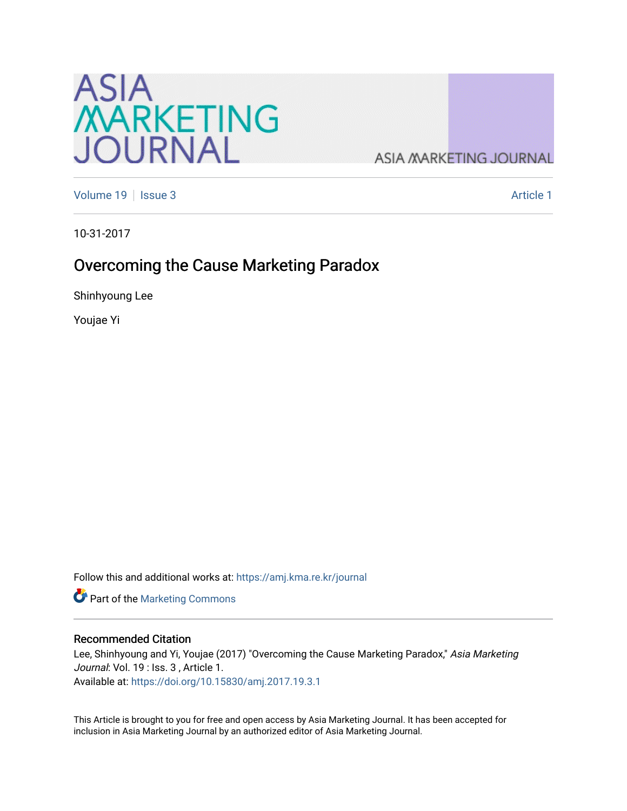

**ASIA MARKETING JOURNAL** 

[Volume 19](https://amj.kma.re.kr/journal/vol19) | [Issue 3](https://amj.kma.re.kr/journal/vol19/iss3) Article 1

10-31-2017

# Overcoming the Cause Marketing Paradox

Shinhyoung Lee

Youjae Yi

Follow this and additional works at: [https://amj.kma.re.kr/journal](https://amj.kma.re.kr/journal?utm_source=amj.kma.re.kr%2Fjournal%2Fvol19%2Fiss3%2F1&utm_medium=PDF&utm_campaign=PDFCoverPages) 

Part of the [Marketing Commons](http://network.bepress.com/hgg/discipline/638?utm_source=amj.kma.re.kr%2Fjournal%2Fvol19%2Fiss3%2F1&utm_medium=PDF&utm_campaign=PDFCoverPages)

## Recommended Citation

Lee, Shinhyoung and Yi, Youjae (2017) "Overcoming the Cause Marketing Paradox," Asia Marketing Journal: Vol. 19 : Iss. 3, Article 1. Available at:<https://doi.org/10.15830/amj.2017.19.3.1>

This Article is brought to you for free and open access by Asia Marketing Journal. It has been accepted for inclusion in Asia Marketing Journal by an authorized editor of Asia Marketing Journal.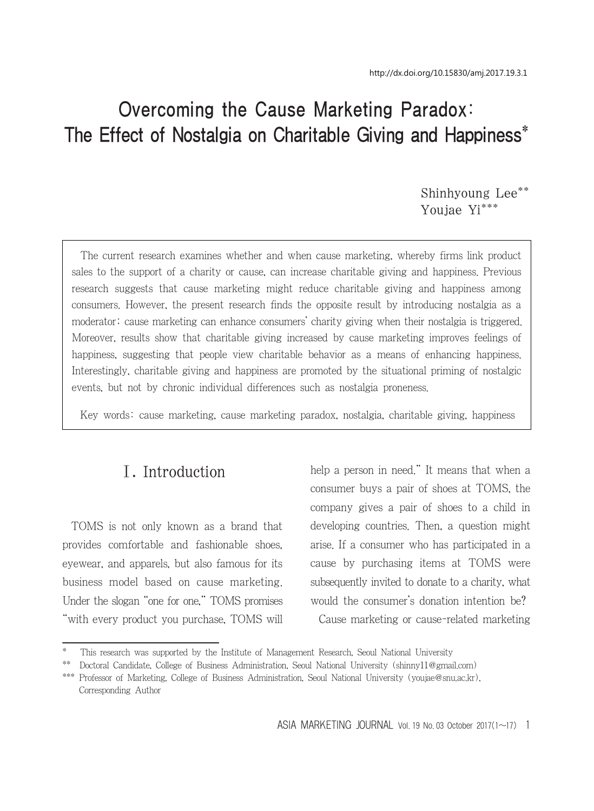# Overcoming the Cause Marketing Paradox: The Effect of Nostalgia on Charitable Giving and Happiness\*

Shinhyoung Lee\*\* Youjae Yi\*\*\*

The current research examines whether and when cause marketing, whereby firms link product sales to the support of a charity or cause, can increase charitable giving and happiness. Previous research suggests that cause marketing might reduce charitable giving and happiness among consumers. However, the present research finds the opposite result by introducing nostalgia as a moderator; cause marketing can enhance consumers' charity giving when their nostalgia is triggered. Moreover, results show that charitable giving increased by cause marketing improves feelings of happiness, suggesting that people view charitable behavior as a means of enhancing happiness. Interestingly, charitable giving and happiness are promoted by the situational priming of nostalgic events, but not by chronic individual differences such as nostalgia proneness.

Key words: cause marketing, cause marketing paradox, nostalgia, charitable giving, happiness

# Ⅰ. Introduction

TOMS is not only known as a brand that provides comfortable and fashionable shoes, eyewear, and apparels, but also famous for its business model based on cause marketing. Under the slogan "one for one," TOMS promises "with every product you purchase, TOMS will help a person in need." It means that when a consumer buys a pair of shoes at TOMS, the company gives a pair of shoes to a child in developing countries. Then, a question might arise. If a consumer who has participated in a cause by purchasing items at TOMS were subsequently invited to donate to a charity, what would the consumer's donation intention be? Cause marketing or cause-related marketing

<sup>\*</sup> This research was supported by the Institute of Management Research, Seoul National University

<sup>\*\*</sup> Doctoral Candidate, College of Business Administration, Seoul National University (shinny11@gmail.com)

<sup>\*\*\*</sup> Professor of Marketing, College of Business Administration, Seoul National University (youjae@snu.ac.kr), Corresponding Author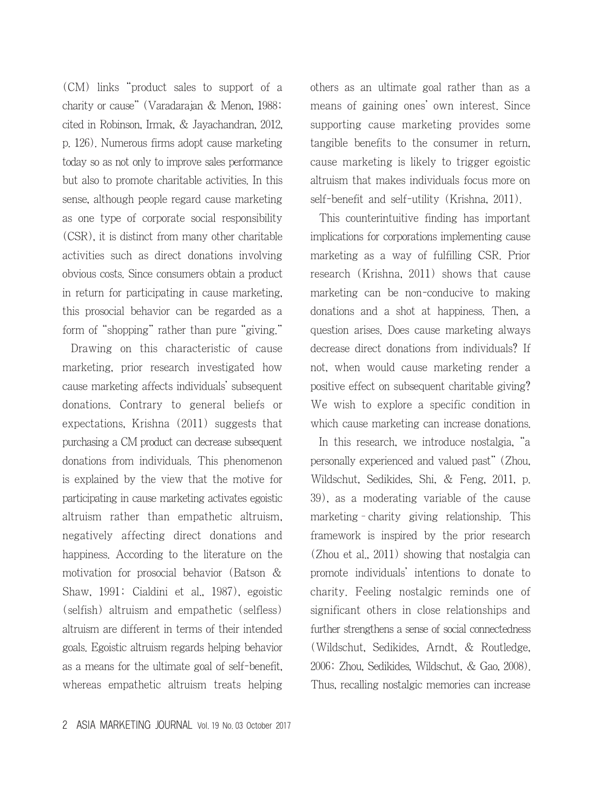(CM) links "product sales to support of a charity or cause" (Varadarajan & Menon, 1988; cited in Robinson, Irmak, & Jayachandran, 2012, p. 126). Numerous firms adopt cause marketing today so as not only to improve sales performance but also to promote charitable activities. In this sense, although people regard cause marketing as one type of corporate social responsibility (CSR), it is distinct from many other charitable activities such as direct donations involving obvious costs. Since consumers obtain a product in return for participating in cause marketing, this prosocial behavior can be regarded as a form of "shopping" rather than pure "giving."

Drawing on this characteristic of cause marketing, prior research investigated how cause marketing affects individuals' subsequent donations. Contrary to general beliefs or expectations, Krishna (2011) suggests that purchasing a CM product can decrease subsequent donations from individuals. This phenomenon is explained by the view that the motive for participating in cause marketing activates egoistic altruism rather than empathetic altruism, negatively affecting direct donations and happiness. According to the literature on the motivation for prosocial behavior (Batson & Shaw, 1991; Cialdini et al., 1987), egoistic (selfish) altruism and empathetic (selfless) altruism are different in terms of their intended goals. Egoistic altruism regards helping behavior as a means for the ultimate goal of self-benefit, whereas empathetic altruism treats helping others as an ultimate goal rather than as a means of gaining ones' own interest. Since supporting cause marketing provides some tangible benefits to the consumer in return, cause marketing is likely to trigger egoistic altruism that makes individuals focus more on self-benefit and self-utility (Krishna, 2011).

This counterintuitive finding has important implications for corporations implementing cause marketing as a way of fulfilling CSR. Prior research (Krishna, 2011) shows that cause marketing can be non-conducive to making donations and a shot at happiness. Then, a question arises. Does cause marketing always decrease direct donations from individuals? If not, when would cause marketing render a positive effect on subsequent charitable giving? We wish to explore a specific condition in which cause marketing can increase donations.

In this research, we introduce nostalgia, "a personally experienced and valued past" (Zhou, Wildschut, Sedikides, Shi, & Feng, 2011, p. 39), as a moderating variable of the cause marketing–charity giving relationship. This framework is inspired by the prior research (Zhou et al., 2011) showing that nostalgia can promote individuals' intentions to donate to charity. Feeling nostalgic reminds one of significant others in close relationships and further strengthens a sense of social connectedness (Wildschut, Sedikides, Arndt, & Routledge, 2006; Zhou, Sedikides, Wildschut, & Gao, 2008). Thus, recalling nostalgic memories can increase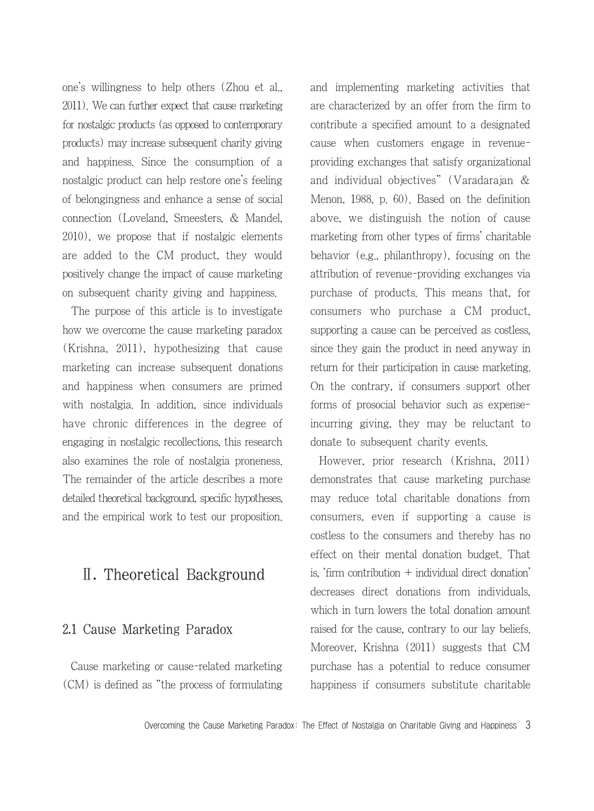one's willingness to help others (Zhou et al., 2011). We can further expect that cause marketing for nostalgic products (as opposed to contemporary products) may increase subsequent charity giving and happiness. Since the consumption of a nostalgic product can help restore one's feeling of belongingness and enhance a sense of social connection (Loveland, Smeesters, & Mandel, 2010), we propose that if nostalgic elements are added to the CM product, they would positively change the impact of cause marketing on subsequent charity giving and happiness.

The purpose of this article is to investigate how we overcome the cause marketing paradox (Krishna, 2011), hypothesizing that cause marketing can increase subsequent donations and happiness when consumers are primed with nostalgia. In addition, since individuals have chronic differences in the degree of engaging in nostalgic recollections, this research also examines the role of nostalgia proneness. The remainder of the article describes a more detailed theoretical background, specific hypotheses, and the empirical work to test our proposition.

# Ⅱ. Theoretical Background

#### 2.1 Cause Marketing Paradox

Cause marketing or cause-related marketing (CM) is defined as "the process of formulating and implementing marketing activities that are characterized by an offer from the firm to contribute a specified amount to a designated cause when customers engage in revenueproviding exchanges that satisfy organizational and individual objectives" (Varadarajan & Menon, 1988, p. 60). Based on the definition above, we distinguish the notion of cause marketing from other types of firms' charitable behavior (e.g., philanthropy), focusing on the attribution of revenue-providing exchanges via purchase of products. This means that, for consumers who purchase a CM product, supporting a cause can be perceived as costless, since they gain the product in need anyway in return for their participation in cause marketing. On the contrary, if consumers support other forms of prosocial behavior such as expenseincurring giving, they may be reluctant to donate to subsequent charity events.

However, prior research (Krishna, 2011) demonstrates that cause marketing purchase may reduce total charitable donations from consumers, even if supporting a cause is costless to the consumers and thereby has no effect on their mental donation budget. That is, 'firm contribution + individual direct donation' decreases direct donations from individuals, which in turn lowers the total donation amount raised for the cause, contrary to our lay beliefs. Moreover, Krishna (2011) suggests that CM purchase has a potential to reduce consumer happiness if consumers substitute charitable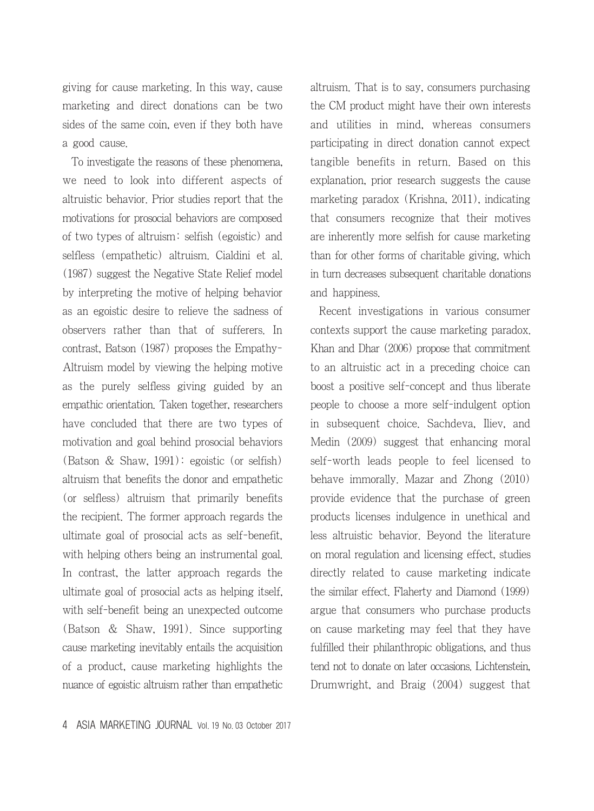giving for cause marketing. In this way, cause marketing and direct donations can be two sides of the same coin, even if they both have a good cause.

To investigate the reasons of these phenomena, we need to look into different aspects of altruistic behavior. Prior studies report that the motivations for prosocial behaviors are composed of two types of altruism: selfish (egoistic) and selfless (empathetic) altruism. Cialdini et al. (1987) suggest the Negative State Relief model by interpreting the motive of helping behavior as an egoistic desire to relieve the sadness of observers rather than that of sufferers. In contrast, Batson (1987) proposes the Empathy-Altruism model by viewing the helping motive as the purely selfless giving guided by an empathic orientation. Taken together, researchers have concluded that there are two types of motivation and goal behind prosocial behaviors (Batson & Shaw, 1991): egoistic (or selfish) altruism that benefits the donor and empathetic (or selfless) altruism that primarily benefits the recipient. The former approach regards the ultimate goal of prosocial acts as self-benefit, with helping others being an instrumental goal. In contrast, the latter approach regards the ultimate goal of prosocial acts as helping itself, with self-benefit being an unexpected outcome (Batson & Shaw, 1991). Since supporting cause marketing inevitably entails the acquisition of a product, cause marketing highlights the nuance of egoistic altruism rather than empathetic altruism. That is to say, consumers purchasing the CM product might have their own interests and utilities in mind, whereas consumers participating in direct donation cannot expect tangible benefits in return. Based on this explanation, prior research suggests the cause marketing paradox (Krishna, 2011), indicating that consumers recognize that their motives are inherently more selfish for cause marketing than for other forms of charitable giving, which in turn decreases subsequent charitable donations and happiness.

Recent investigations in various consumer contexts support the cause marketing paradox. Khan and Dhar (2006) propose that commitment to an altruistic act in a preceding choice can boost a positive self-concept and thus liberate people to choose a more self-indulgent option in subsequent choice. Sachdeva, Iliev, and Medin (2009) suggest that enhancing moral self-worth leads people to feel licensed to behave immorally. Mazar and Zhong (2010) provide evidence that the purchase of green products licenses indulgence in unethical and less altruistic behavior. Beyond the literature on moral regulation and licensing effect, studies directly related to cause marketing indicate the similar effect. Flaherty and Diamond (1999) argue that consumers who purchase products on cause marketing may feel that they have fulfilled their philanthropic obligations, and thus tend not to donate on later occasions. Lichtenstein, Drumwright, and Braig (2004) suggest that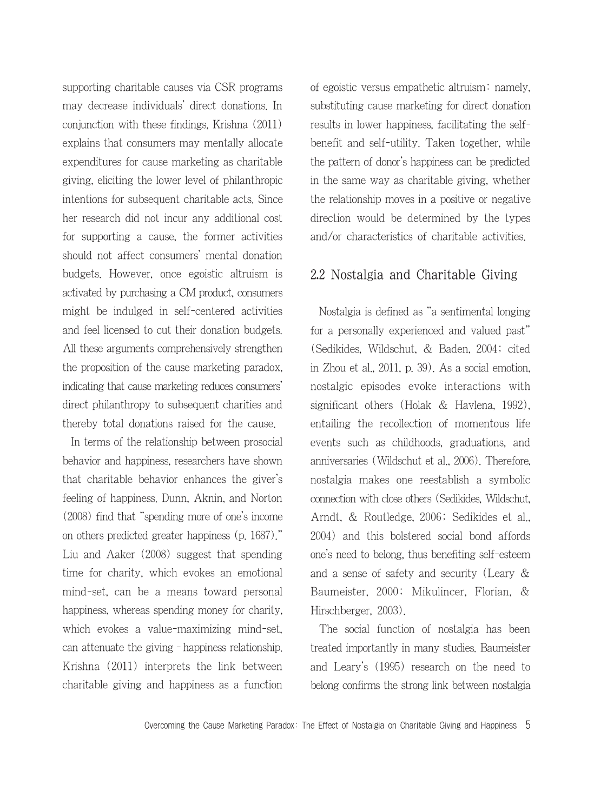supporting charitable causes via CSR programs may decrease individuals' direct donations. In conjunction with these findings, Krishna (2011) explains that consumers may mentally allocate expenditures for cause marketing as charitable giving, eliciting the lower level of philanthropic intentions for subsequent charitable acts. Since her research did not incur any additional cost for supporting a cause, the former activities should not affect consumers' mental donation budgets. However, once egoistic altruism is activated by purchasing a CM product, consumers might be indulged in self-centered activities and feel licensed to cut their donation budgets. All these arguments comprehensively strengthen the proposition of the cause marketing paradox, indicating that cause marketing reduces consumers' direct philanthropy to subsequent charities and thereby total donations raised for the cause.

In terms of the relationship between prosocial behavior and happiness, researchers have shown that charitable behavior enhances the giver's feeling of happiness. Dunn, Aknin, and Norton (2008) find that "spending more of one's income on others predicted greater happiness (p. 1687)." Liu and Aaker (2008) suggest that spending time for charity, which evokes an emotional mind-set, can be a means toward personal happiness, whereas spending money for charity. which evokes a value-maximizing mind-set, can attenuate the giving–happiness relationship. Krishna (2011) interprets the link between charitable giving and happiness as a function of egoistic versus empathetic altruism: namely, substituting cause marketing for direct donation results in lower happiness, facilitating the selfbenefit and self-utility. Taken together, while the pattern of donor's happiness can be predicted in the same way as charitable giving, whether the relationship moves in a positive or negative direction would be determined by the types and/or characteristics of charitable activities.

### 2.2 Nostalgia and Charitable Giving

Nostalgia is defined as "a sentimental longing for a personally experienced and valued past" (Sedikides, Wildschut, & Baden, 2004; cited in Zhou et al., 2011, p. 39). As a social emotion, nostalgic episodes evoke interactions with significant others (Holak & Havlena, 1992), entailing the recollection of momentous life events such as childhoods, graduations, and anniversaries (Wildschut et al., 2006). Therefore, nostalgia makes one reestablish a symbolic connection with close others (Sedikides, Wildschut, Arndt, & Routledge, 2006; Sedikides et al., 2004) and this bolstered social bond affords one's need to belong, thus benefiting self-esteem and a sense of safety and security (Leary & Baumeister, 2000; Mikulincer, Florian, & Hirschberger, 2003).

The social function of nostalgia has been treated importantly in many studies. Baumeister and Leary's (1995) research on the need to belong confirms the strong link between nostalgia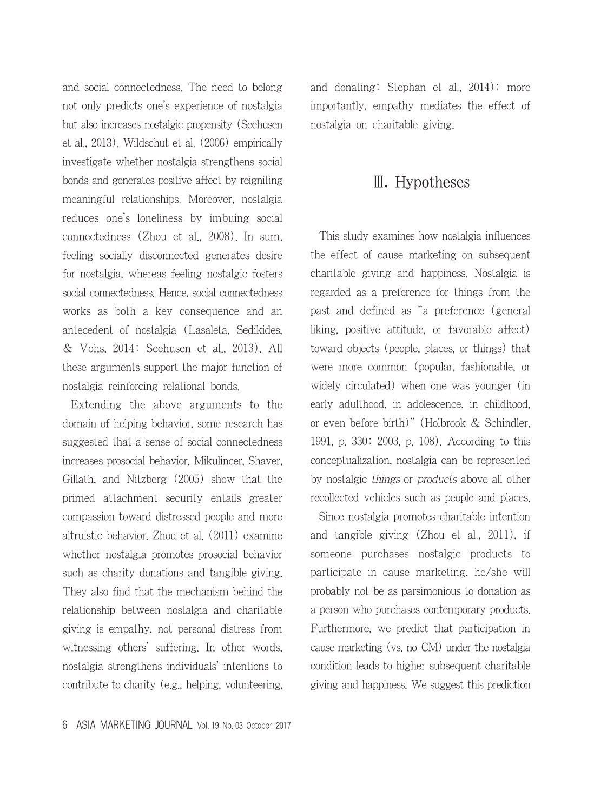and social connectedness. The need to belong not only predicts one's experience of nostalgia but also increases nostalgic propensity (Seehusen et al., 2013). Wildschut et al. (2006) empirically investigate whether nostalgia strengthens social bonds and generates positive affect by reigniting meaningful relationships. Moreover, nostalgia reduces one's loneliness by imbuing social connectedness (Zhou et al., 2008). In sum, feeling socially disconnected generates desire for nostalgia, whereas feeling nostalgic fosters social connectedness. Hence, social connectedness works as both a key consequence and an antecedent of nostalgia (Lasaleta, Sedikides, & Vohs, 2014; Seehusen et al., 2013). All these arguments support the major function of nostalgia reinforcing relational bonds.

Extending the above arguments to the domain of helping behavior, some research has suggested that a sense of social connectedness increases prosocial behavior. Mikulincer, Shaver, Gillath, and Nitzberg (2005) show that the primed attachment security entails greater compassion toward distressed people and more altruistic behavior. Zhou et al. (2011) examine whether nostalgia promotes prosocial behavior such as charity donations and tangible giving. They also find that the mechanism behind the relationship between nostalgia and charitable giving is empathy, not personal distress from witnessing others' suffering. In other words, nostalgia strengthens individuals' intentions to contribute to charity (e.g., helping, volunteering, and donating; Stephan et al., 2014); more importantly, empathy mediates the effect of nostalgia on charitable giving.

# Ⅲ. Hypotheses

This study examines how nostalgia influences the effect of cause marketing on subsequent charitable giving and happiness. Nostalgia is regarded as a preference for things from the past and defined as "a preference (general liking, positive attitude, or favorable affect) toward objects (people, places, or things) that were more common (popular, fashionable, or widely circulated) when one was younger (in early adulthood, in adolescence, in childhood, or even before birth)" (Holbrook & Schindler, 1991, p. 330; 2003, p. 108). According to this conceptualization, nostalgia can be represented by nostalgic things or products above all other recollected vehicles such as people and places.

Since nostalgia promotes charitable intention and tangible giving (Zhou et al., 2011), if someone purchases nostalgic products to participate in cause marketing, he/she will probably not be as parsimonious to donation as a person who purchases contemporary products. Furthermore, we predict that participation in cause marketing (vs. no-CM) under the nostalgia condition leads to higher subsequent charitable giving and happiness. We suggest this prediction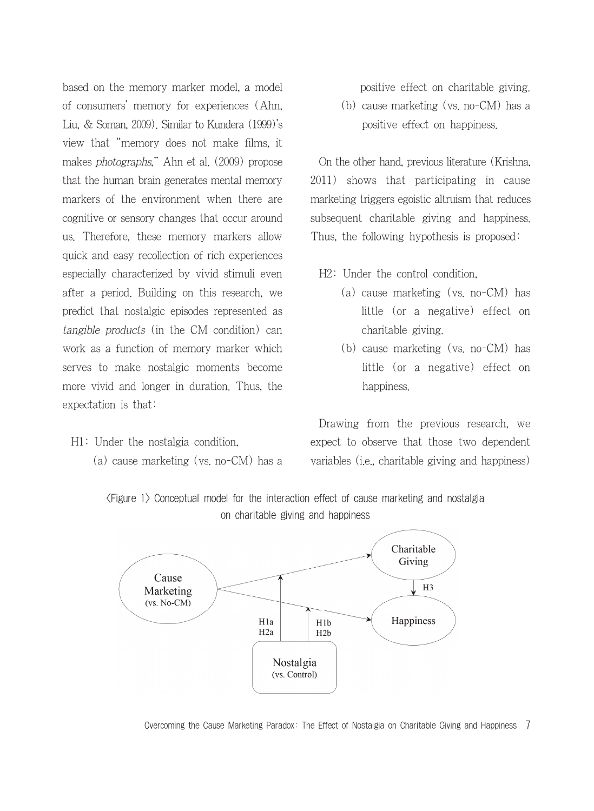based on the memory marker model, a model of consumers' memory for experiences (Ahn, Liu, & Soman, 2009). Similar to Kundera (1999)'s view that "memory does not make films, it makes photographs," Ahn et al. (2009) propose that the human brain generates mental memory markers of the environment when there are cognitive or sensory changes that occur around us. Therefore, these memory markers allow quick and easy recollection of rich experiences especially characterized by vivid stimuli even after a period. Building on this research, we predict that nostalgic episodes represented as tangible products (in the CM condition) can work as a function of memory marker which serves to make nostalgic moments become more vivid and longer in duration. Thus, the expectation is that:

- H1: Under the nostalgia condition,
	- (a) cause marketing (vs. no-CM) has a

positive effect on charitable giving.

(b) cause marketing (vs. no-CM) has a positive effect on happiness.

On the other hand, previous literature (Krishna, 2011) shows that participating in cause marketing triggers egoistic altruism that reduces subsequent charitable giving and happiness. Thus, the following hypothesis is proposed:

H2: Under the control condition,

- (a) cause marketing (vs. no-CM) has little (or a negative) effect on charitable giving.
- (b) cause marketing (vs. no-CM) has little (or a negative) effect on happiness.

Drawing from the previous research, we expect to observe that those two dependent variables (i.e., charitable giving and happiness)

<Figure 1> Conceptual model for the interaction effect of cause marketing and nostalgia on charitable giving and happiness



Overcoming the Cause Marketing Paradox: The Effect of Nostalgia on Charitable Giving and Happiness 7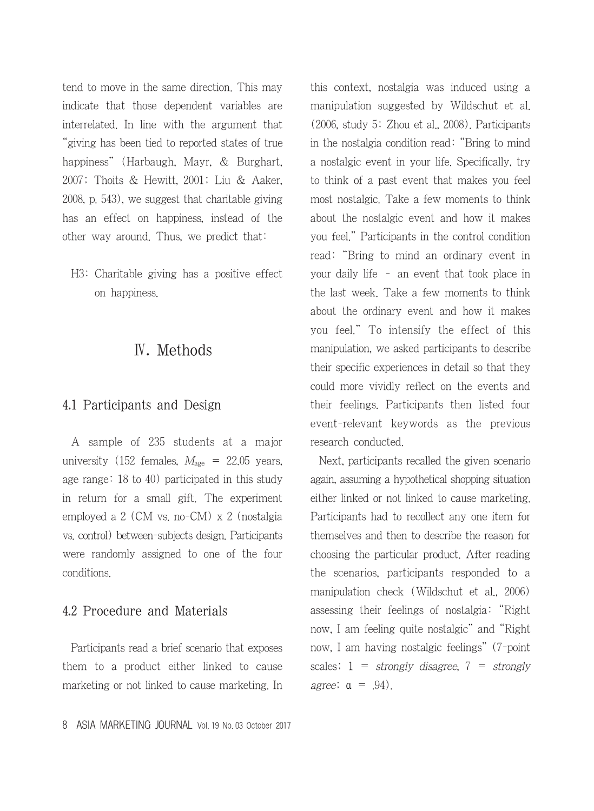tend to move in the same direction. This may indicate that those dependent variables are interrelated. In line with the argument that "giving has been tied to reported states of true happiness" (Harbaugh, Mayr, & Burghart, 2007; Thoits & Hewitt, 2001; Liu & Aaker, 2008, p. 543), we suggest that charitable giving has an effect on happiness, instead of the other way around. Thus, we predict that:

H3: Charitable giving has a positive effect on happiness.

# Ⅳ. Methods

#### 4.1 Participants and Design

A sample of 235 students at a major university (152 females,  $M_{\text{age}} = 22.05$  years, age range: 18 to 40) participated in this study in return for a small gift. The experiment employed a 2 (CM vs. no-CM) x 2 (nostalgia vs. control) between-subjects design. Participants were randomly assigned to one of the four conditions.

## 4.2 Procedure and Materials

Participants read a brief scenario that exposes them to a product either linked to cause marketing or not linked to cause marketing. In this context, nostalgia was induced using a manipulation suggested by Wildschut et al. (2006, study 5; Zhou et al., 2008). Participants in the nostalgia condition read: "Bring to mind a nostalgic event in your life. Specifically, try to think of a past event that makes you feel most nostalgic. Take a few moments to think about the nostalgic event and how it makes you feel." Participants in the control condition read: "Bring to mind an ordinary event in your daily life – an event that took place in the last week. Take a few moments to think about the ordinary event and how it makes you feel." To intensify the effect of this manipulation, we asked participants to describe their specific experiences in detail so that they could more vividly reflect on the events and their feelings. Participants then listed four event-relevant keywords as the previous research conducted.

Next, participants recalled the given scenario again, assuming a hypothetical shopping situation either linked or not linked to cause marketing. Participants had to recollect any one item for themselves and then to describe the reason for choosing the particular product. After reading the scenarios, participants responded to a manipulation check (Wildschut et al., 2006) assessing their feelings of nostalgia: "Right now, I am feeling quite nostalgic" and "Right now, I am having nostalgic feelings" (7-point scales;  $1 =$  strongly disagree,  $7 =$  strongly agree;  $\alpha = .94$ ).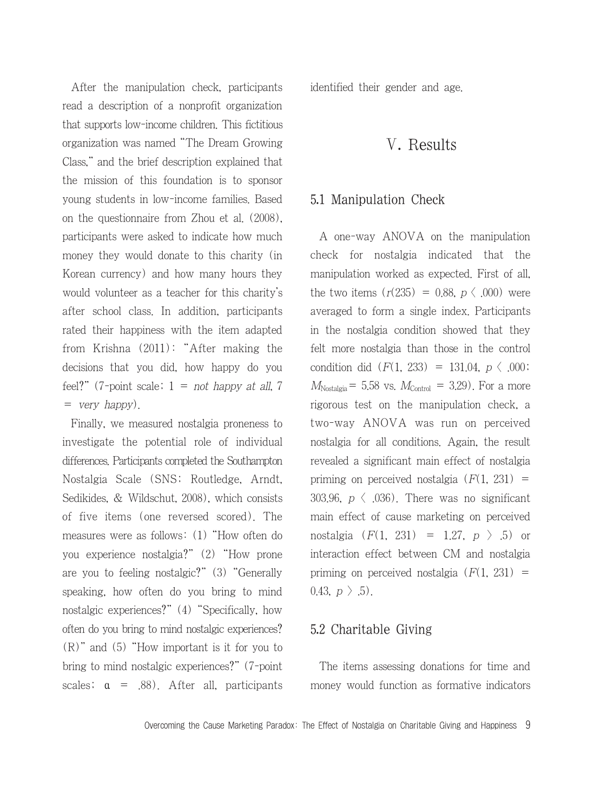After the manipulation check, participants read a description of a nonprofit organization that supports low-income children. This fictitious organization was named "The Dream Growing Class," and the brief description explained that the mission of this foundation is to sponsor young students in low-income families. Based on the questionnaire from Zhou et al. (2008), participants were asked to indicate how much money they would donate to this charity (in Korean currency) and how many hours they would volunteer as a teacher for this charity's after school class. In addition, participants rated their happiness with the item adapted from Krishna (2011): "After making the decisions that you did, how happy do you feel?" (7-point scale;  $1 = not happy at all, 7$ = very happy).

Finally, we measured nostalgia proneness to investigate the potential role of individual differences. Participants completed the Southampton Nostalgia Scale (SNS; Routledge, Arndt, Sedikides, & Wildschut, 2008), which consists of five items (one reversed scored). The measures were as follows: (1) "How often do you experience nostalgia?" (2) "How prone are you to feeling nostalgic?" (3) "Generally speaking, how often do you bring to mind nostalgic experiences?" (4) "Specifically, how often do you bring to mind nostalgic experiences? (R)" and (5) "How important is it for you to bring to mind nostalgic experiences?" (7-point scales;  $\alpha = .88$ ). After all, participants identified their gender and age.

# Ⅴ. Results

#### 5.1 Manipulation Check

A one-way ANOVA on the manipulation check for nostalgia indicated that the manipulation worked as expected. First of all, the two items  $(r(235) = 0.88, p \langle .000)$  were averaged to form a single index. Participants in the nostalgia condition showed that they felt more nostalgia than those in the control condition did  $(F(1, 233) = 131.04, p \leq .000)$ ;  $M_{\text{Nostalgia}}$  = 5.58 vs.  $M_{\text{Control}}$  = 3.29). For a more rigorous test on the manipulation check, a two-way ANOVA was run on perceived nostalgia for all conditions. Again, the result revealed a significant main effect of nostalgia priming on perceived nostalgia  $(F(1, 231))$  = 303.96,  $p \langle .036$ ). There was no significant main effect of cause marketing on perceived nostalgia  $(F(1, 231) = 1.27, p > .5)$  or interaction effect between CM and nostalgia priming on perceived nostalgia  $(F(1, 231))$  = 0.43,  $p > .5$ ).

### 5.2 Charitable Giving

The items assessing donations for time and money would function as formative indicators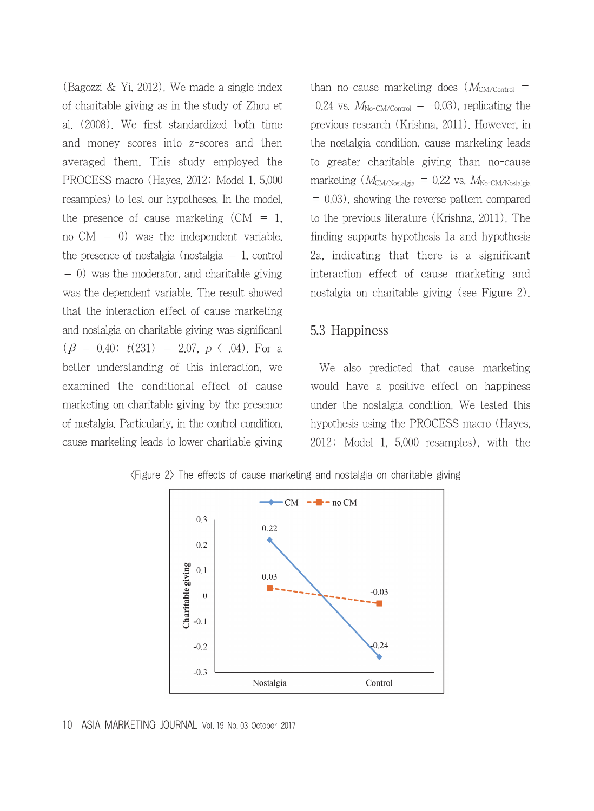(Bagozzi & Yi, 2012). We made a single index of charitable giving as in the study of Zhou et al. (2008). We first standardized both time and money scores into z-scores and then averaged them. This study employed the PROCESS macro (Hayes, 2012; Model 1, 5,000 resamples) to test our hypotheses. In the model, the presence of cause marketing  $(CM = 1,$  $no-CM = 0$ ) was the independent variable, the presence of nostalgia (nostalgia  $= 1$ , control  $= 0$ ) was the moderator, and charitable giving was the dependent variable. The result showed that the interaction effect of cause marketing and nostalgia on charitable giving was significant  $(\beta = 0.40; t(231) = 2.07, p \langle .04)$ . For a better understanding of this interaction, we examined the conditional effect of cause marketing on charitable giving by the presence of nostalgia. Particularly, in the control condition, cause marketing leads to lower charitable giving than no-cause marketing does  $(M_{CM/Control}$  $-0.24$  vs.  $M_{\text{No-CM/Control}} = -0.03$ , replicating the previous research (Krishna, 2011). However, in the nostalgia condition, cause marketing leads to greater charitable giving than no-cause marketing  $(M_{CM/Nostalgia} = 0.22$  vs.  $M_{No-CM/Nostalgia}$ = 0.03), showing the reverse pattern compared to the previous literature (Krishna, 2011). The finding supports hypothesis 1a and hypothesis 2a, indicating that there is a significant interaction effect of cause marketing and nostalgia on charitable giving (see Figure 2).

#### 5.3 Happiness

We also predicted that cause marketing would have a positive effect on happiness under the nostalgia condition. We tested this hypothesis using the PROCESS macro (Hayes, 2012; Model 1, 5,000 resamples), with the



<Figure 2> The effects of cause marketing and nostalgia on charitable giving

<sup>10</sup> ASIA MARKETING JOURNAL Vol. 19 No. 03 October 2017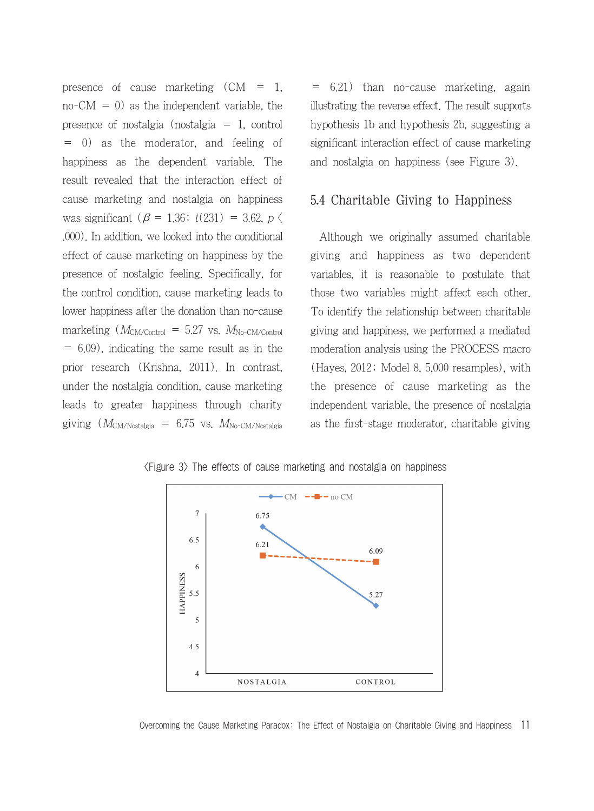presence of cause marketing  $(CM = 1,$  $no-CM = 0$  as the independent variable, the presence of nostalgia (nostalgia = 1, control = 0) as the moderator, and feeling of happiness as the dependent variable. The result revealed that the interaction effect of cause marketing and nostalgia on happiness was significant ( $\beta$  = 1.36;  $t(231)$  = 3.62,  $p \langle$ .000). In addition, we looked into the conditional effect of cause marketing on happiness by the presence of nostalgic feeling. Specifically, for the control condition, cause marketing leads to lower happiness after the donation than no-cause marketing  $(M_{CM/Control} = 5.27 \text{ vs. } M_{No-CM/Control}$ = 6.09), indicating the same result as in the prior research (Krishna, 2011). In contrast, under the nostalgia condition, cause marketing leads to greater happiness through charity giving  $(M_{\text{CM/Notalgia}} = 6.75 \text{ vs. } M_{\text{No-CM/Notalgia}})$  = 6.21) than no-cause marketing, again illustrating the reverse effect. The result supports hypothesis 1b and hypothesis 2b, suggesting a significant interaction effect of cause marketing and nostalgia on happiness (see Figure 3).

## 5.4 Charitable Giving to Happiness

Although we originally assumed charitable giving and happiness as two dependent variables, it is reasonable to postulate that those two variables might affect each other. To identify the relationship between charitable giving and happiness, we performed a mediated moderation analysis using the PROCESS macro (Hayes, 2012; Model 8, 5,000 resamples), with the presence of cause marketing as the independent variable, the presence of nostalgia as the first-stage moderator, charitable giving



<Figure 3> The effects of cause marketing and nostalgia on happiness

Overcoming the Cause Marketing Paradox: The Effect of Nostalgia on Charitable Giving and Happiness 11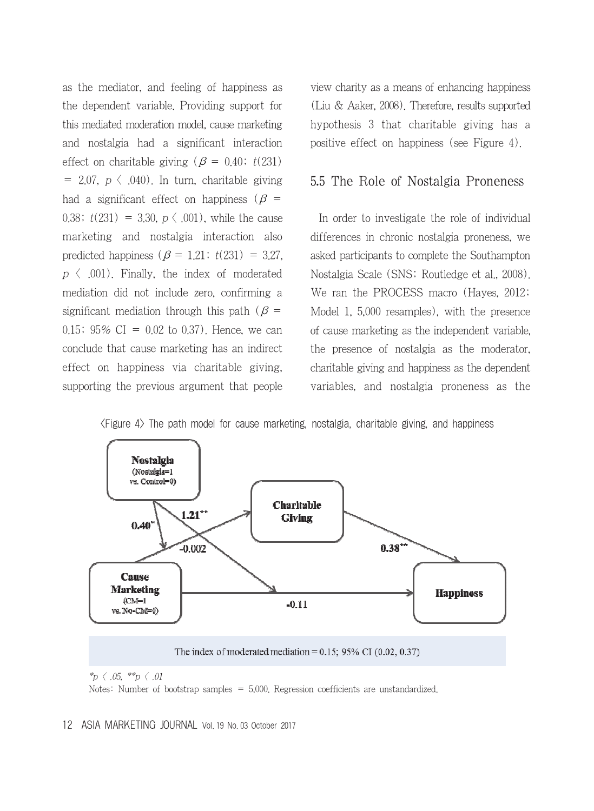as the mediator, and feeling of happiness as the dependent variable. Providing support for this mediated moderation model, cause marketing and nostalgia had a significant interaction effect on charitable giving ( $\beta = 0.40$ ; t(231)  $= 2.07, p \langle .040 \rangle$ . In turn, charitable giving had a significant effect on happiness ( $\beta$  = 0.38;  $t(231) = 3.30, p \lt 0.001$ , while the cause marketing and nostalgia interaction also predicted happiness ( $\beta = 1.21$ ;  $t(231) = 3.27$ ,  $p \langle 001 \rangle$ . Finally, the index of moderated mediation did not include zero, confirming a significant mediation through this path ( $\beta$  = 0.15;  $95\%$  CI = 0.02 to 0.37). Hence, we can conclude that cause marketing has an indirect effect on happiness via charitable giving, supporting the previous argument that people view charity as a means of enhancing happiness (Liu & Aaker, 2008). Therefore, results supported hypothesis 3 that charitable giving has a positive effect on happiness (see Figure 4).

## 5.5 The Role of Nostalgia Proneness

In order to investigate the role of individual differences in chronic nostalgia proneness, we asked participants to complete the Southampton Nostalgia Scale (SNS; Routledge et al., 2008). We ran the PROCESS macro (Hayes, 2012; Model 1, 5,000 resamples), with the presence of cause marketing as the independent variable, the presence of nostalgia as the moderator, charitable giving and happiness as the dependent variables, and nostalgia proneness as the





#### 12 ASIA MARKETING JOURNAL Vol. 19 No. 03 October 2017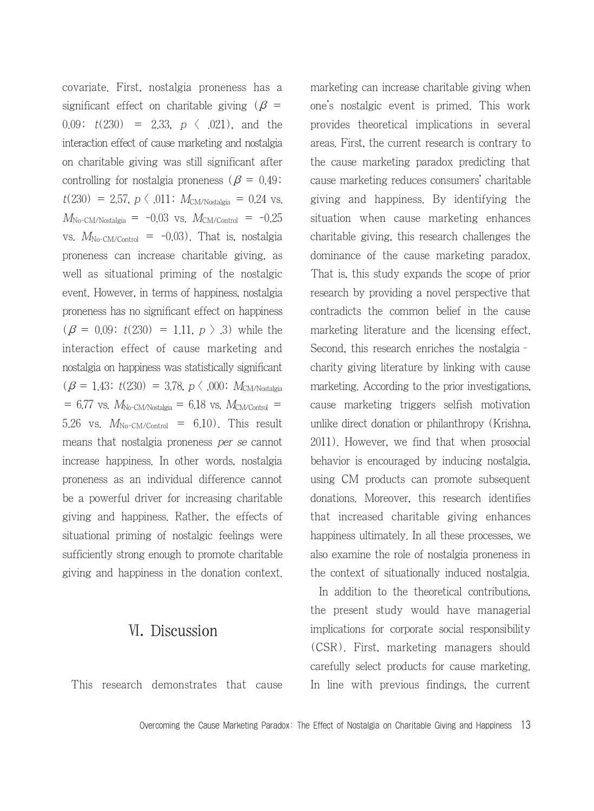covariate. First, nostalgia proneness has a significant effect on charitable giving ( $\beta$  = 0.09;  $t(230) = 2.33$ ,  $p \langle .021$ , and the interaction effect of cause marketing and nostalgia on charitable giving was still significant after controlling for nostalgia proneness ( $\beta = 0.49$ ;  $t(230) = 2.57, p \in .011$ ;  $M_{\text{CM/Nostalgia}} = 0.24$  vs.  $M_{\text{No-CM/Nostalgia}} = -0.03$  vs.  $M_{\text{CM/Control}} = -0.25$ vs.  $M_{\text{No-CM/Control}} = -0.03$ . That is, nostalgia proneness can increase charitable giving, as well as situational priming of the nostalgic event. However, in terms of happiness, nostalgia proneness has no significant effect on happiness  $(\beta = 0.09; t(230) = 1.11, p > .3)$  while the interaction effect of cause marketing and nostalgia on happiness was statistically significant  $(\beta = 1.43; t(230) = 3.78, p \langle .000; M_{\text{CM/Nostalgia}} \rangle)$  $= 6.77$  vs.  $M_{\text{No-CM/Nostalgia}} = 6.18$  vs.  $M_{\text{CM/Control}} =$ 5.26 vs.  $M_{\text{No-CM/Control}} = 6.10$ . This result means that nostalgia proneness per se cannot increase happiness. In other words, nostalgia proneness as an individual difference cannot be a powerful driver for increasing charitable giving and happiness. Rather, the effects of situational priming of nostalgic feelings were sufficiently strong enough to promote charitable giving and happiness in the donation context.

# Ⅵ. Discussion

This research demonstrates that cause

marketing can increase charitable giving when one's nostalgic event is primed. This work provides theoretical implications in several areas. First, the current research is contrary to the cause marketing paradox predicting that cause marketing reduces consumers' charitable giving and happiness. By identifying the situation when cause marketing enhances charitable giving, this research challenges the dominance of the cause marketing paradox. That is, this study expands the scope of prior research by providing a novel perspective that contradicts the common belief in the cause marketing literature and the licensing effect. Second, this research enriches the nostalgia– charity giving literature by linking with cause marketing. According to the prior investigations, cause marketing triggers selfish motivation unlike direct donation or philanthropy (Krishna, 2011). However, we find that when prosocial behavior is encouraged by inducing nostalgia, using CM products can promote subsequent donations. Moreover, this research identifies that increased charitable giving enhances happiness ultimately. In all these processes, we also examine the role of nostalgia proneness in the context of situationally induced nostalgia.

In addition to the theoretical contributions, the present study would have managerial implications for corporate social responsibility (CSR). First, marketing managers should carefully select products for cause marketing. In line with previous findings, the current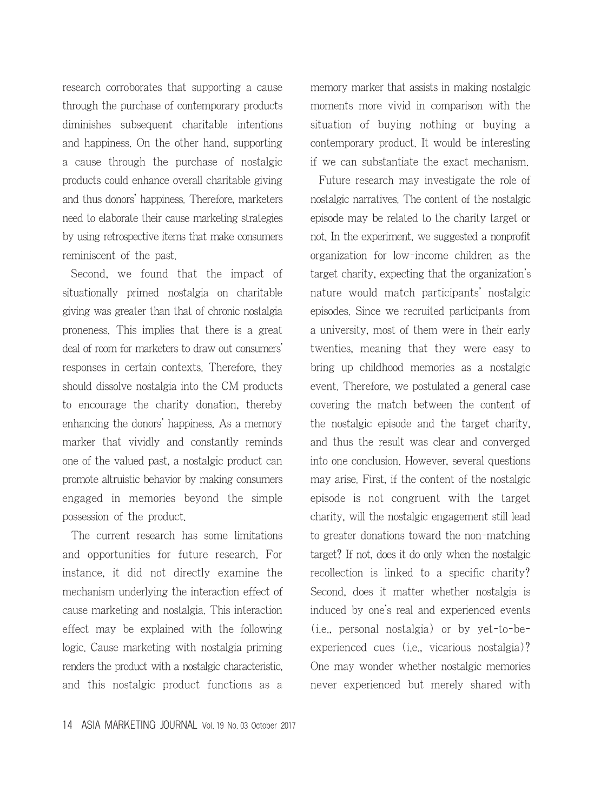research corroborates that supporting a cause through the purchase of contemporary products diminishes subsequent charitable intentions and happiness. On the other hand, supporting a cause through the purchase of nostalgic products could enhance overall charitable giving and thus donors' happiness. Therefore, marketers need to elaborate their cause marketing strategies by using retrospective items that make consumers reminiscent of the past.

Second, we found that the impact of situationally primed nostalgia on charitable giving was greater than that of chronic nostalgia proneness. This implies that there is a great deal of room for marketers to draw out consumers' responses in certain contexts. Therefore, they should dissolve nostalgia into the CM products to encourage the charity donation, thereby enhancing the donors' happiness. As a memory marker that vividly and constantly reminds one of the valued past, a nostalgic product can promote altruistic behavior by making consumers engaged in memories beyond the simple possession of the product.

The current research has some limitations and opportunities for future research. For instance, it did not directly examine the mechanism underlying the interaction effect of cause marketing and nostalgia. This interaction effect may be explained with the following logic. Cause marketing with nostalgia priming renders the product with a nostalgic characteristic, and this nostalgic product functions as a memory marker that assists in making nostalgic moments more vivid in comparison with the situation of buying nothing or buying a contemporary product. It would be interesting if we can substantiate the exact mechanism.

Future research may investigate the role of nostalgic narratives. The content of the nostalgic episode may be related to the charity target or not. In the experiment, we suggested a nonprofit organization for low-income children as the target charity, expecting that the organization's nature would match participants' nostalgic episodes. Since we recruited participants from a university, most of them were in their early twenties, meaning that they were easy to bring up childhood memories as a nostalgic event. Therefore, we postulated a general case covering the match between the content of the nostalgic episode and the target charity, and thus the result was clear and converged into one conclusion. However, several questions may arise. First, if the content of the nostalgic episode is not congruent with the target charity, will the nostalgic engagement still lead to greater donations toward the non-matching target? If not, does it do only when the nostalgic recollection is linked to a specific charity? Second, does it matter whether nostalgia is induced by one's real and experienced events (i.e., personal nostalgia) or by yet-to-beexperienced cues (i.e., vicarious nostalgia)? One may wonder whether nostalgic memories never experienced but merely shared with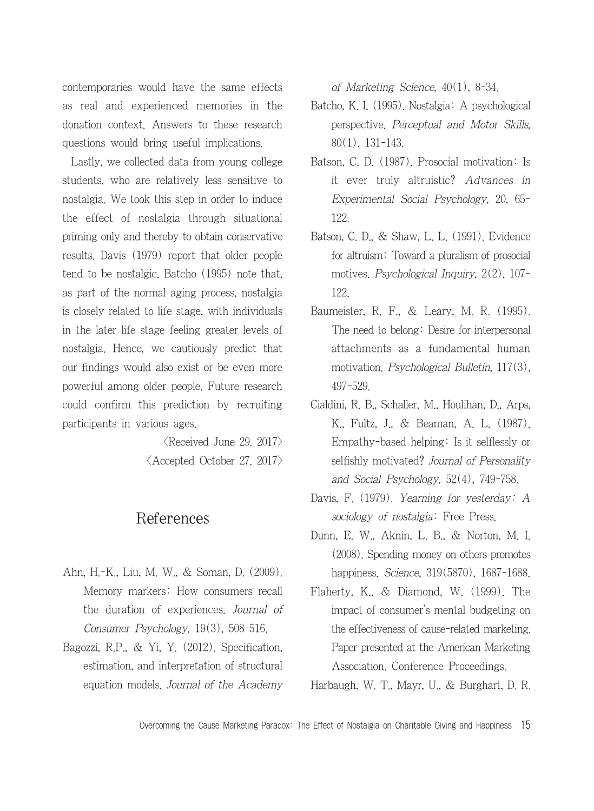contemporaries would have the same effects as real and experienced memories in the donation context. Answers to these research questions would bring useful implications.

Lastly, we collected data from young college students, who are relatively less sensitive to nostalgia. We took this step in order to induce the effect of nostalgia through situational priming only and thereby to obtain conservative results. Davis (1979) report that older people tend to be nostalgic. Batcho (1995) note that, as part of the normal aging process, nostalgia is closely related to life stage, with individuals in the later life stage feeling greater levels of nostalgia. Hence, we cautiously predict that our findings would also exist or be even more powerful among older people. Future research could confirm this prediction by recruiting participants in various ages.

> $\langle$ Received June 29. 2017 $\rangle$ <Accepted October 27. 2017>

# References

- Ahn, H.-K., Liu, M. W., & Soman, D. (2009). Memory markers: How consumers recall the duration of experiences. Journal of Consumer Psychology, 19(3), 508-516.
- Bagozzi, R.P., & Yi, Y. (2012). Specification, estimation, and interpretation of structural equation models. Journal of the Academy

of Marketing Science, 40(1), 8-34.

- Batcho, K. I. (1995). Nostalgia: A psychological perspective. Perceptual and Motor Skills, 80(1), 131-143.
- Batson, C. D. (1987). Prosocial motivation: Is it ever truly altruistic? Advances in Experimental Social Psychology, 20, 65- 122.
- Batson, C. D., & Shaw, L. L. (1991). Evidence for altruism: Toward a pluralism of prosocial motives. Psychological Inquiry, 2(2), 107- 122.
- Baumeister, R. F., & Leary, M. R. (1995). The need to belong: Desire for interpersonal attachments as a fundamental human motivation. Psychological Bulletin, 117(3), 497-529.
- Cialdini, R. B., Schaller, M., Houlihan, D., Arps, K., Fultz, J., & Beaman, A. L. (1987). Empathy-based helping: Is it selflessly or selfishly motivated? Journal of Personality and Social Psychology, 52(4), 749-758.
- Davis, F. (1979). Yearning for yesterday: A sociology of nostalgia: Free Press.
- Dunn, E. W., Aknin, L. B., & Norton, M. I. (2008). Spending money on others promotes happiness. Science, 319(5870), 1687-1688.
- Flaherty, K., & Diamond, W. (1999). The impact of consumer's mental budgeting on the effectiveness of cause-related marketing. Paper presented at the American Marketing Association. Conference Proceedings.

Harbaugh, W. T., Mayr, U., & Burghart, D. R.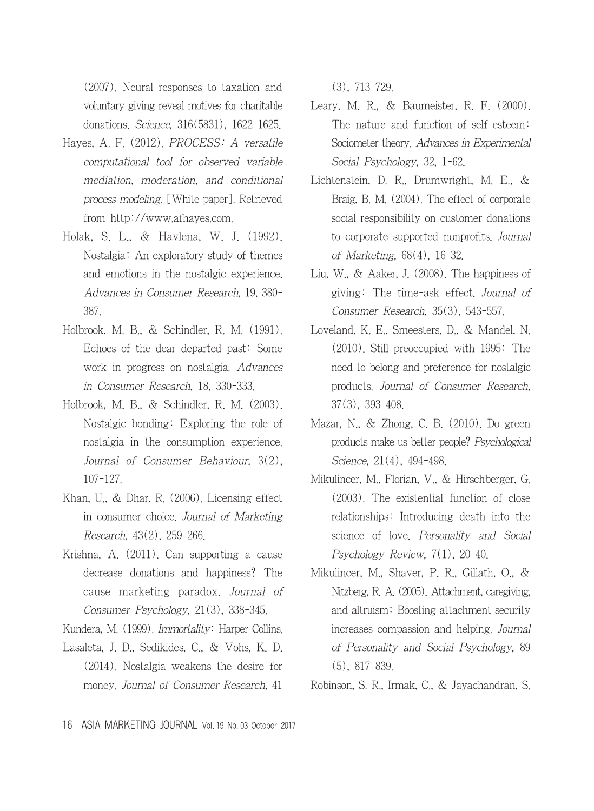(2007). Neural responses to taxation and voluntary giving reveal motives for charitable donations. Science, 316(5831), 1622-1625.

- Hayes, A. F. (2012). PROCESS: A versatile computational tool for observed variable mediation, moderation, and conditional process modeling. [White paper]. Retrieved from http://www.afhayes.com.
- Holak, S. L., & Havlena, W. J. (1992). Nostalgia: An exploratory study of themes and emotions in the nostalgic experience. Advances in Consumer Research, 19, 380- 387.
- Holbrook, M. B., & Schindler, R. M. (1991). Echoes of the dear departed past: Some work in progress on nostalgia. Advances in Consumer Research, 18, 330-333.
- Holbrook, M. B., & Schindler, R. M. (2003). Nostalgic bonding: Exploring the role of nostalgia in the consumption experience. Journal of Consumer Behaviour, 3(2), 107-127.
- Khan, U., & Dhar, R. (2006). Licensing effect in consumer choice. Journal of Marketing Research, 43(2), 259-266.
- Krishna, A. (2011). Can supporting a cause decrease donations and happiness? The cause marketing paradox. Journal of Consumer Psychology, 21(3), 338-345.
- Kundera, M. (1999). Immortality: Harper Collins.
- Lasaleta, J. D., Sedikides, C., & Vohs, K. D. (2014). Nostalgia weakens the desire for money. Journal of Consumer Research, 41

(3), 713-729.

- Leary, M. R., & Baumeister, R. F. (2000). The nature and function of self-esteem: Sociometer theory. Advances in Experimental Social Psychology, 32, 1-62.
- Lichtenstein, D. R., Drumwright, M. E., & Braig, B. M. (2004). The effect of corporate social responsibility on customer donations to corporate-supported nonprofits. Journal of Marketing, 68(4), 16-32.
- Liu, W., & Aaker, J. (2008). The happiness of giving: The time-ask effect. Journal of Consumer Research, 35(3), 543-557.
- Loveland, K. E., Smeesters, D., & Mandel, N. (2010). Still preoccupied with 1995: The need to belong and preference for nostalgic products. Journal of Consumer Research, 37(3), 393-408.
- Mazar, N., & Zhong, C.-B. (2010). Do green products make us better people? Psychological Science, 21(4), 494-498.
- Mikulincer, M., Florian, V., & Hirschberger, G. (2003). The existential function of close relationships: Introducing death into the science of love. Personality and Social Psychology Review, 7(1), 20-40.
- Mikulincer, M., Shaver, P. R., Gillath, O., & Nitzberg, R. A. (2005). Attachment, caregiving, and altruism: Boosting attachment security increases compassion and helping. Journal of Personality and Social Psychology, 89 (5), 817-839.
- Robinson, S. R., Irmak, C., & Jayachandran, S.